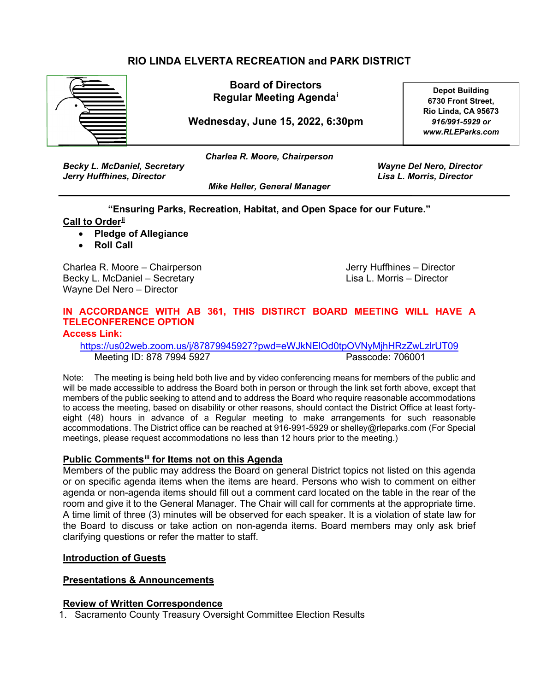# **RIO LINDA ELVERTA RECREATION and PARK DISTRICT**



**Board of Directors Regular Meeting Agenda[i](#page-2-0)**

**Wednesday, June 15, 2022, 6:30pm**

**Depot Building 6730 Front Street, Rio Linda, CA 95673** *916/991-5929 or www.RLEParks.com*

*Charlea R. Moore, Chairperson*

*Becky L. McDaniel, Secretary Wayne Del Nero, Director Jerry Huffhines, Director Lisa L. Morris, Director*

*Mike Heller, General Manager*

**"Ensuring Parks, Recreation, Habitat, and Open Space for our Future."**

# **Call to Order[ii](#page-2-1)**

- **Pledge of Allegiance**
- **Roll Call**

Charlea R. Moore – Chairperson **Jerry Huffhines – Director** Jerry Huffhines – Director Becky L. McDaniel – Secretary Lisa L. Morris – Director Wayne Del Nero – Director

#### **IN ACCORDANCE WITH AB 361, THIS DISTIRCT BOARD MEETING WILL HAVE A TELECONFERENCE OPTION Access Link:**

<https://us02web.zoom.us/j/87879945927?pwd=eWJkNElOd0tpOVNyMjhHRzZwLzlrUT09> Meeting ID: 878 7994 5927 Passcode: 706001

Note: The meeting is being held both live and by video conferencing means for members of the public and will be made accessible to address the Board both in person or through the link set forth above, except that members of the public seeking to attend and to address the Board who require reasonable accommodations to access the meeting, based on disability or other reasons, should contact the District Office at least fortyeight (48) hours in advance of a Regular meeting to make arrangements for such reasonable accommodations. The District office can be reached at 916-991-5929 or shelley@rleparks.com (For Special meetings, please request accommodations no less than 12 hours prior to the meeting.)

### **Public Comment[siii](#page-2-2) for Items not on this Agenda**

Members of the public may address the Board on general District topics not listed on this agenda or on specific agenda items when the items are heard. Persons who wish to comment on either agenda or non-agenda items should fill out a comment card located on the table in the rear of the room and give it to the General Manager. The Chair will call for comments at the appropriate time. A time limit of three (3) minutes will be observed for each speaker. It is a violation of state law for the Board to discuss or take action on non-agenda items. Board members may only ask brief clarifying questions or refer the matter to staff.

### **Introduction of Guests**

### **Presentations & Announcements**

#### **Review of Written Correspondence**

1. Sacramento County Treasury Oversight Committee Election Results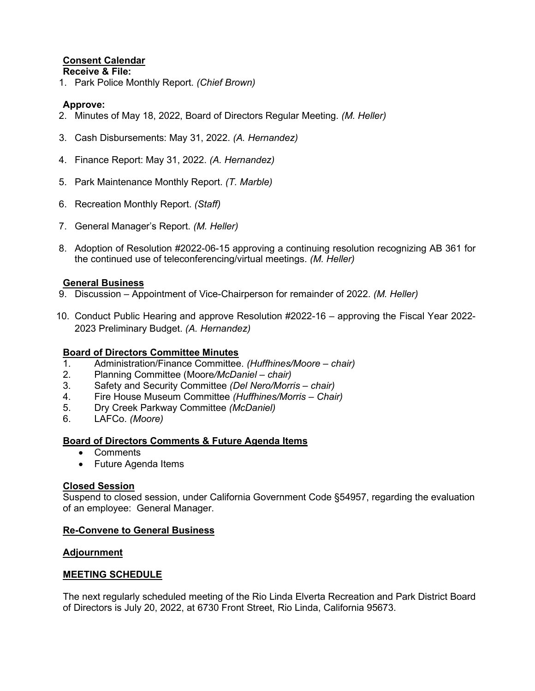# **Consent Calendar**

#### **Receive & File:**

1. Park Police Monthly Report. *(Chief Brown)*

# **Approve:**

- 2. Minutes of May 18, 2022, Board of Directors Regular Meeting. *(M. Heller)*
- 3. Cash Disbursements: May 31, 2022. *(A. Hernandez)*
- 4. Finance Report: May 31, 2022. *(A. Hernandez)*
- 5. Park Maintenance Monthly Report. *(T. Marble)*
- 6. Recreation Monthly Report. *(Staff)*
- 7. General Manager's Report. *(M. Heller)*
- 8. Adoption of Resolution #2022-06-15 approving a continuing resolution recognizing AB 361 for the continued use of teleconferencing/virtual meetings. *(M. Heller)*

### **General Business**

- 9. Discussion Appointment of Vice-Chairperson for remainder of 2022. *(M. Heller)*
- 10. Conduct Public Hearing and approve Resolution #2022-16 approving the Fiscal Year 2022- 2023 Preliminary Budget. *(A. Hernandez)*

### **Board of Directors Committee Minutes**

- 1. Administration/Finance Committee. *(Huffhines/Moore chair)*
- 2. Planning Committee (Moore*/McDaniel chair)*
- 3. Safety and Security Committee *(Del Nero/Morris chair)*
- 4. Fire House Museum Committee *(Huffhines/Morris Chair)*
- 5. Dry Creek Parkway Committee *(McDaniel)*
- 6. LAFCo. *(Moore)*

### **Board of Directors Comments & Future Agenda Items**

- Comments
- Future Agenda Items

# **Closed Session**

Suspend to closed session, under California Government Code §54957, regarding the evaluation of an employee: General Manager.

### **Re-Convene to General Business**

### **Adjournment**

### **MEETING SCHEDULE**

The next regularly scheduled meeting of the Rio Linda Elverta Recreation and Park District Board of Directors is July 20, 2022, at 6730 Front Street, Rio Linda, California 95673.